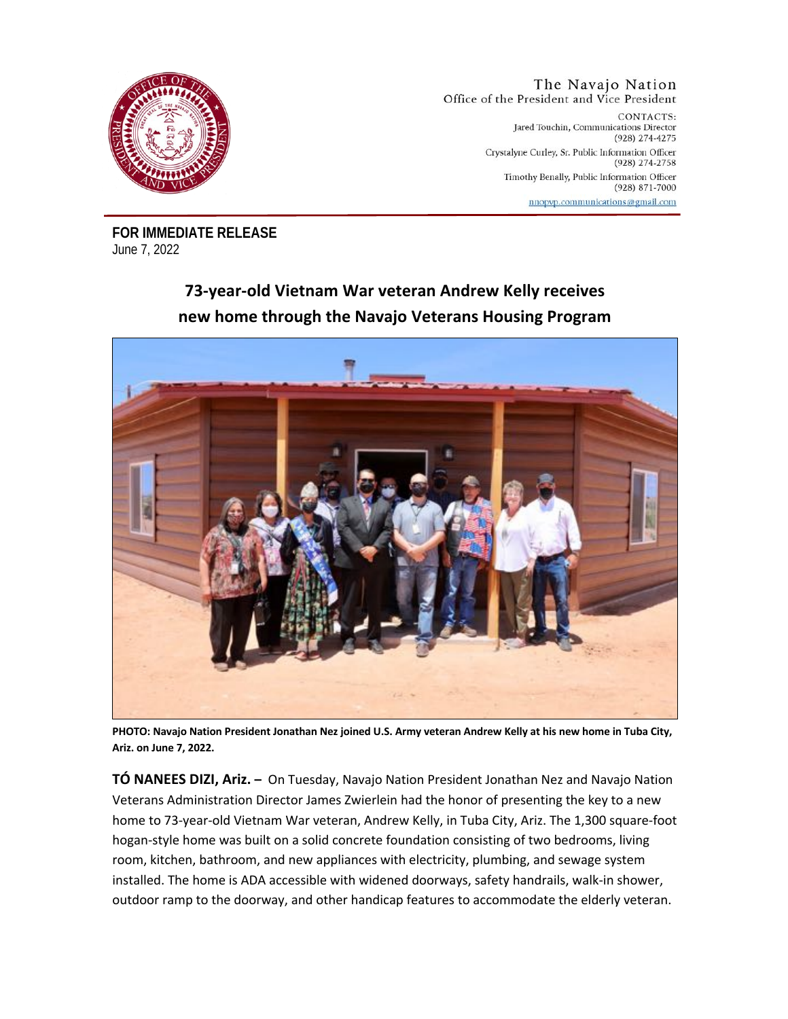

## The Navajo Nation Office of the President and Vice President

CONTACTS: Jared Touchin, Communications Director (928) 274-4275 Crystalyne Curley, Sr. Public Information Officer (928) 274-2758 Timothy Benally, Public Information Officer  $(928) 871 - 7000$ nnopvp.communications@gmail.com

**FOR IMMEDIATE RELEASE**  June 7, 2022

## **73-year-old Vietnam War veteran Andrew Kelly receives new home through the Navajo Veterans Housing Program**



**PHOTO: Navajo Nation President Jonathan Nez joined U.S. Army veteran Andrew Kelly at his new home in Tuba City, Ariz. on June 7, 2022.** 

**TÓ NANEES DIZI, Ariz. –** On Tuesday, Navajo Nation President Jonathan Nez and Navajo Nation Veterans Administration Director James Zwierlein had the honor of presenting the key to a new home to 73-year-old Vietnam War veteran, Andrew Kelly, in Tuba City, Ariz. The 1,300 square-foot hogan-style home was built on a solid concrete foundation consisting of two bedrooms, living room, kitchen, bathroom, and new appliances with electricity, plumbing, and sewage system installed. The home is ADA accessible with widened doorways, safety handrails, walk-in shower, outdoor ramp to the doorway, and other handicap features to accommodate the elderly veteran.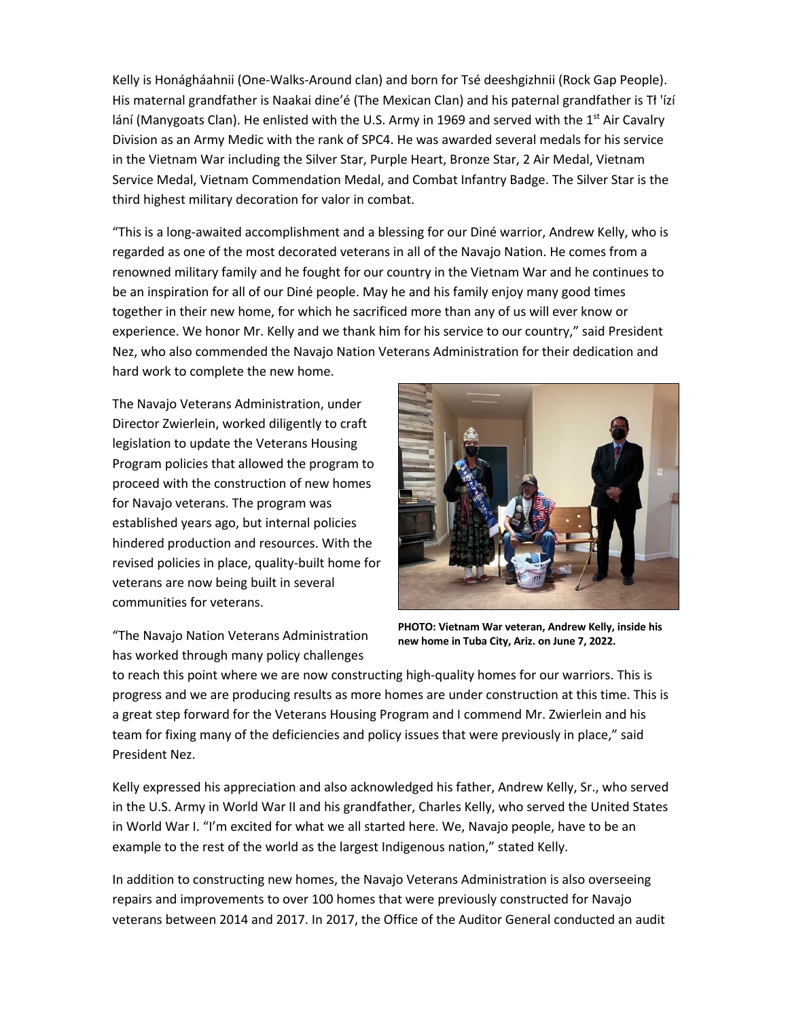Kelly is Honágháahnii (One-Walks-Around clan) and born for Tsé deeshgizhnii (Rock Gap People). His maternal grandfather is Naakai dine'é (The Mexican Clan) and his paternal grandfather is Tł 'ízí lání (Manygoats Clan). He enlisted with the U.S. Army in 1969 and served with the 1st Air Cavalry Division as an Army Medic with the rank of SPC4. He was awarded several medals for his service in the Vietnam War including the Silver Star, Purple Heart, Bronze Star, 2 Air Medal, Vietnam Service Medal, Vietnam Commendation Medal, and Combat Infantry Badge. The Silver Star is the third highest military decoration for valor in combat.

"This is a long-awaited accomplishment and a blessing for our Diné warrior, Andrew Kelly, who is regarded as one of the most decorated veterans in all of the Navajo Nation. He comes from a renowned military family and he fought for our country in the Vietnam War and he continues to be an inspiration for all of our Diné people. May he and his family enjoy many good times together in their new home, for which he sacrificed more than any of us will ever know or experience. We honor Mr. Kelly and we thank him for his service to our country," said President Nez, who also commended the Navajo Nation Veterans Administration for their dedication and hard work to complete the new home.

The Navajo Veterans Administration, under Director Zwierlein, worked diligently to craft legislation to update the Veterans Housing Program policies that allowed the program to proceed with the construction of new homes for Navajo veterans. The program was established years ago, but internal policies hindered production and resources. With the revised policies in place, quality-built home for veterans are now being built in several communities for veterans.



"The Navajo Nation Veterans Administration has worked through many policy challenges

**PHOTO: Vietnam War veteran, Andrew Kelly, inside his new home in Tuba City, Ariz. on June 7, 2022.**

to reach this point where we are now constructing high-quality homes for our warriors. This is progress and we are producing results as more homes are under construction at this time. This is a great step forward for the Veterans Housing Program and I commend Mr. Zwierlein and his team for fixing many of the deficiencies and policy issues that were previously in place," said President Nez.

Kelly expressed his appreciation and also acknowledged his father, Andrew Kelly, Sr., who served in the U.S. Army in World War II and his grandfather, Charles Kelly, who served the United States in World War I. "I'm excited for what we all started here. We, Navajo people, have to be an example to the rest of the world as the largest Indigenous nation," stated Kelly.

In addition to constructing new homes, the Navajo Veterans Administration is also overseeing repairs and improvements to over 100 homes that were previously constructed for Navajo veterans between 2014 and 2017. In 2017, the Office of the Auditor General conducted an audit